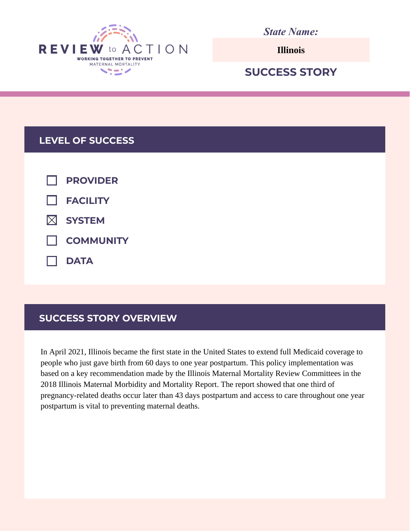

*State Name:*

**Illinois**

# **SUCCESS STORY**

# **LEVEL OF SUCCESS**

| $\Box$ PROVIDER    |
|--------------------|
| $\Box$ FACILITY    |
| $\boxtimes$ SYSTEM |
| <b>NUMBER</b>      |
| $\Box$ DATA        |

# **SUCCESS STORY OVERVIEW**

In April 2021, Illinois became the first state in the United States to extend full Medicaid coverage to people who just gave birth from 60 days to one year postpartum. This policy implementation was based on a key recommendation made by the Illinois Maternal Mortality Review Committees in the 2018 Illinois Maternal Morbidity and Mortality Report. The report showed that one third of pregnancy-related deaths occur later than 43 days postpartum and access to care throughout one year postpartum is vital to preventing maternal deaths.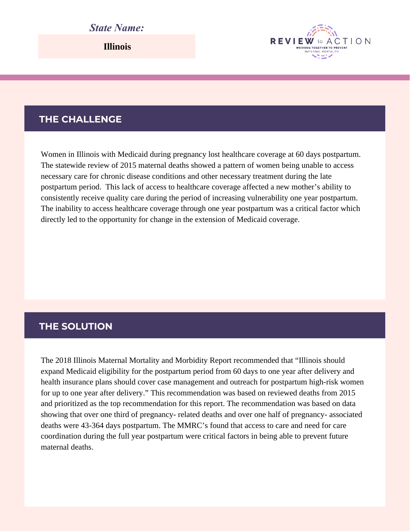## *State Name:*

**Illinois**

#### **THE CHALLENGE**

Women in Illinois with Medicaid during pregnancy lost healthcare coverage at 60 days postpartum. The statewide review of 2015 maternal deaths showed a pattern of women being unable to access necessary care for chronic disease conditions and other necessary treatment during the late postpartum period. This lack of access to healthcare coverage affected a new mother's ability to consistently receive quality care during the period of increasing vulnerability one year postpartum. The inability to access healthcare coverage through one year postpartum was a critical factor which directly led to the opportunity for change in the extension of Medicaid coverage.

**REVIEW** 

WORKING TOGETHER TO RREVEN

ACTION

#### **THE SOLUTION**

The 2018 Illinois Maternal Mortality and Morbidity Report recommended that "Illinois should expand Medicaid eligibility for the postpartum period from 60 days to one year after delivery and health insurance plans should cover case management and outreach for postpartum high-risk women for up to one year after delivery." This recommendation was based on reviewed deaths from 2015 and prioritized as the top recommendation for this report. The recommendation was based on data showing that over one third of pregnancy- related deaths and over one half of pregnancy- associated deaths were 43-364 days postpartum. The MMRC's found that access to care and need for care coordination during the full year postpartum were critical factors in being able to prevent future maternal deaths.